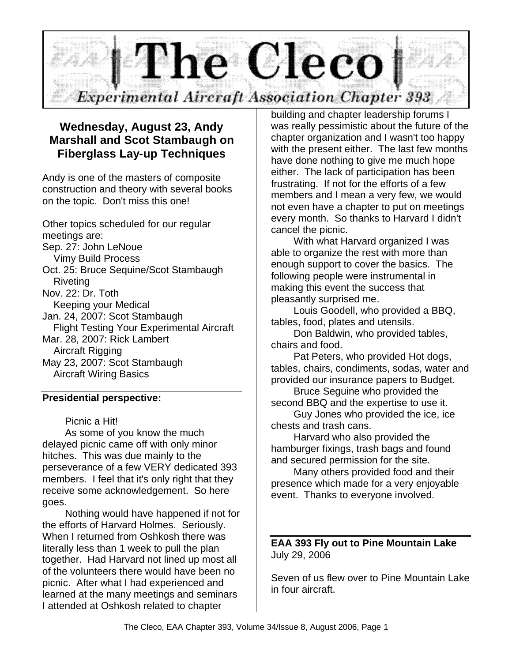

# **Wednesday, August 23, Andy Marshall and Scot Stambaugh on Fiberglass Lay-up Techniques**

Andy is one of the masters of composite construction and theory with several books on the topic. Don't miss this one!

Other topics scheduled for our regular meetings are: Sep. 27: John LeNoue Vimy Build Process Oct. 25: Bruce Sequine/Scot Stambaugh Riveting Nov. 22: Dr. Toth Keeping your Medical Jan. 24, 2007: Scot Stambaugh Flight Testing Your Experimental Aircraft Mar. 28, 2007: Rick Lambert Aircraft Rigging May 23, 2007: Scot Stambaugh Aircraft Wiring Basics

### **Presidential perspective:**

### Picnic a Hit!

As some of you know the much delayed picnic came off with only minor hitches. This was due mainly to the perseverance of a few VERY dedicated 393 members. I feel that it's only right that they receive some acknowledgement. So here goes.

Nothing would have happened if not for the efforts of Harvard Holmes. Seriously. When I returned from Oshkosh there was literally less than 1 week to pull the plan together. Had Harvard not lined up most all of the volunteers there would have been no picnic. After what I had experienced and learned at the many meetings and seminars I attended at Oshkosh related to chapter

building and chapter leadership forums I was really pessimistic about the future of the chapter organization and I wasn't too happy with the present either. The last few months have done nothing to give me much hope either. The lack of participation has been frustrating. If not for the efforts of a few members and I mean a very few, we would not even have a chapter to put on meetings every month. So thanks to Harvard I didn't cancel the picnic.

With what Harvard organized I was able to organize the rest with more than enough support to cover the basics. The following people were instrumental in making this event the success that pleasantly surprised me.

Louis Goodell, who provided a BBQ, tables, food, plates and utensils.

Don Baldwin, who provided tables, chairs and food.

Pat Peters, who provided Hot dogs, tables, chairs, condiments, sodas, water and provided our insurance papers to Budget.

Bruce Seguine who provided the second BBQ and the expertise to use it.

Guy Jones who provided the ice, ice chests and trash cans.

Harvard who also provided the hamburger fixings, trash bags and found and secured permission for the site.

Many others provided food and their presence which made for a very enjoyable event. Thanks to everyone involved.

### **EAA 393 Fly out to Pine Mountain Lake** July 29, 2006

Seven of us flew over to Pine Mountain Lake in four aircraft.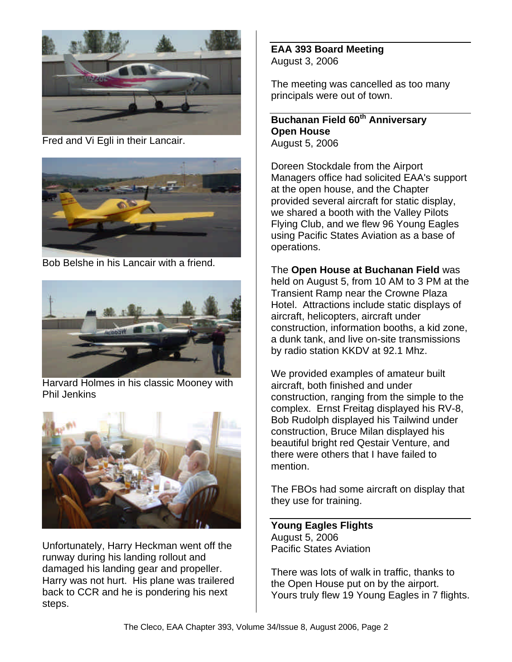

Fred and Vi Egli in their Lancair.



Bob Belshe in his Lancair with a friend.



Harvard Holmes in his classic Mooney with Phil Jenkins



Unfortunately, Harry Heckman went off the runway during his landing rollout and damaged his landing gear and propeller. Harry was not hurt. His plane was trailered back to CCR and he is pondering his next steps.

**EAA 393 Board Meeting** August 3, 2006

The meeting was cancelled as too many principals were out of town.

**Buchanan Field 60th Anniversary Open House** August 5, 2006

Doreen Stockdale from the Airport Managers office had solicited EAA's support at the open house, and the Chapter provided several aircraft for static display, we shared a booth with the Valley Pilots Flying Club, and we flew 96 Young Eagles using Pacific States Aviation as a base of operations.

The **Open House at Buchanan Field** was held on August 5, from 10 AM to 3 PM at the Transient Ramp near the Crowne Plaza Hotel. Attractions include static displays of aircraft, helicopters, aircraft under construction, information booths, a kid zone, a dunk tank, and live on-site transmissions by radio station KKDV at 92.1 Mhz.

We provided examples of amateur built aircraft, both finished and under construction, ranging from the simple to the complex. Ernst Freitag displayed his RV-8, Bob Rudolph displayed his Tailwind under construction, Bruce Milan displayed his beautiful bright red Qestair Venture, and there were others that I have failed to mention.

The FBOs had some aircraft on display that they use for training.

**Young Eagles Flights** August 5, 2006 Pacific States Aviation

There was lots of walk in traffic, thanks to the Open House put on by the airport. Yours truly flew 19 Young Eagles in 7 flights.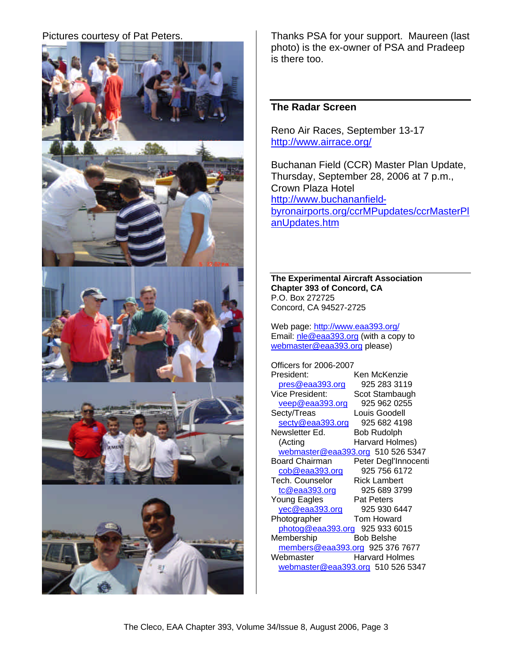

Pictures courtesy of Pat Peters. Thanks PSA for your support. Maureen (last photo) is the ex-owner of PSA and Pradeep is there too.

### **The Radar Screen**

Reno Air Races, September 13-17 http://www.airrace.org/

Buchanan Field (CCR) Master Plan Update, Thursday, September 28, 2006 at 7 p.m., Crown Plaza Hotel http://www.buchananfieldbyronairports.org/ccrMPupdates/ccrMasterPl anUpdates.htm

**The Experimental Aircraft Association Chapter 393 of Concord, CA** P.O. Box 272725 Concord, CA 94527-2725

Web page: http://www.eaa393.org/ Email: nle@eaa393.org (with a copy to webmaster@eaa393.org please)

Officers for 2006-2007 President: Ken McKenzie pres@eaa393.org 925 283 3119 Vice President: Scot Stambaugh veep@eaa393.org 925 962 0255 Secty/Treas Louis Goodell secty@eaa393.org 925 682 4198<br>ewsletter Ed. Bob Rudolph Newsletter Ed. (Acting Harvard Holmes) webmaster@eaa393.org 510 526 5347<br>Board Chairman Peter Degl'Innocent Peter Degl'Innocenti<br>925 756 6172  $\cosh$ @eaa393.org Tech. Counselor Rick Lambert tc@eaa393.org 925 689 3799 Young Eagles Pat Peters yec@eaa393.org 925 930 6447 Photographer Tom Howard photog@eaa393.org 925 933 6015<br>embership Bob Belshe Membership members@eaa393.org 925 376 7677<br>Webmaster Harvard Holmes Harvard Holmes webmaster@eaa393.org 510 526 5347